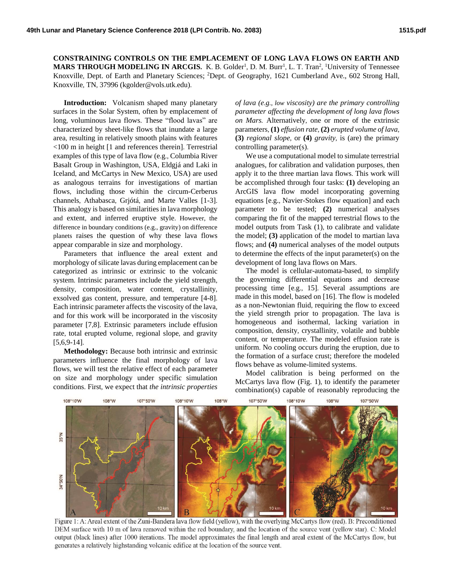**CONSTRAINING CONTROLS ON THE EMPLACEMENT OF LONG LAVA FLOWS ON EARTH AND MARS THROUGH MODELING IN ARCGIS.** K. B. Golder<sup>1</sup>, D. M. Burr<sup>1</sup>, L. T. Tran<sup>2</sup>, <sup>1</sup>University of Tennessee Knoxville, Dept. of Earth and Planetary Sciences; <sup>2</sup>Dept. of Geography, 1621 Cumberland Ave., 602 Strong Hall, Knoxville, TN, 37996 (kgolder@vols.utk.edu).

**Introduction:** Volcanism shaped many planetary surfaces in the Solar System, often by emplacement of long, voluminous lava flows. These "flood lavas" are characterized by sheet-like flows that inundate a large area, resulting in relatively smooth plains with features <100 m in height [1 and references therein]. Terrestrial examples of this type of lava flow (e.g., Columbia River Basalt Group in Washington, USA, Eldgjá and Laki in Iceland, and McCartys in New Mexico, USA) are used as analogous terrains for investigations of martian flows, including those within the circum-Cerberus channels, Athabasca, Grjótá, and Marte Valles [1-3]. This analogy is based on similarities in lava morphology and extent, and inferred eruptive style. However, the difference in boundary conditions (e.g., gravity) on difference planets raises the question of why these lava flows appear comparable in size and morphology.

Parameters that influence the areal extent and morphology of silicate lavas during emplacement can be categorized as intrinsic or extrinsic to the volcanic system. Intrinsic parameters include the yield strength, density, composition, water content, crystallinity, exsolved gas content, pressure, and temperature [4-8]. Each intrinsic parameter affects the viscosity of the lava, and for this work will be incorporated in the viscosity parameter [7,8]. Extrinsic parameters include effusion rate, total erupted volume, regional slope, and gravity [5,6,9-14].

**Methodology:** Because both intrinsic and extrinsic parameters influence the final morphology of lava flows, we will test the relative effect of each parameter on size and morphology under specific simulation conditions. First, we expect that *the intrinsic properties* 

*of lava (e.g., low viscosity) are the primary controlling parameter affecting the development of long lava flows on Mars.* Alternatively, one or more of the extrinsic parameters, **(1)** *effusion rate*, **(2)** *erupted volume of lava*, **(3)** *regional slope*, or **(4)** *gravity*, is (are) the primary controlling parameter(s).

We use a computational model to simulate terrestrial analogues, for calibration and validation purposes, then apply it to the three martian lava flows. This work will be accomplished through four tasks: **(1)** developing an ArcGIS lava flow model incorporating governing equations [e.g., Navier-Stokes flow equation] and each parameter to be tested; **(2)** numerical analyses comparing the fit of the mapped terrestrial flows to the model outputs from Task (1), to calibrate and validate the model; **(3)** application of the model to martian lava flows; and **(4)** numerical analyses of the model outputs to determine the effects of the input parameter(s) on the development of long lava flows on Mars.

The model is cellular-automata-based, to simplify the governing differential equations and decrease processing time [e.g., 15]. Several assumptions are made in this model, based on [16]. The flow is modeled as a non-Newtonian fluid, requiring the flow to exceed the yield strength prior to propagation. The lava is homogeneous and isothermal, lacking variation in composition, density, crystallinity, volatile and bubble content, or temperature. The modeled effusion rate is uniform. No cooling occurs during the eruption, due to the formation of a surface crust; therefore the modeled flows behave as volume-limited systems.

Model calibration is being performed on the McCartys lava flow (Fig. 1), to identify the parameter combination(s) capable of reasonably reproducing the



Figure 1: A: Areal extent of the Zuni-Bandera lava flow field (yellow), with the overlying McCartys flow (red). B: Preconditioned DEM surface with 10 m of lava removed within the red boundary, and the location of the source vent (yellow star). C: Model output (black lines) after 1000 iterations. The model approximates the final length and areal extent of the McCartys flow, but generates a relatively highstanding volcanic edifice at the location of the source vent.